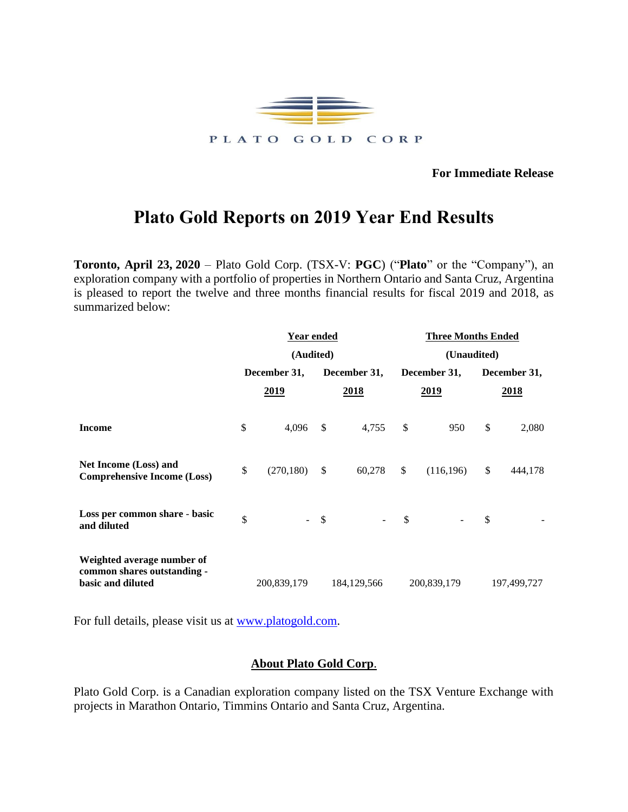

**For Immediate Release**

## **Plato Gold Reports on 2019 Year End Results**

**Toronto, April 23, 2020** – Plato Gold Corp. (TSX-V: **PGC**) ("**Plato**" or the "Company"), an exploration company with a portfolio of properties in Northern Ontario and Santa Cruz, Argentina is pleased to report the twelve and three months financial results for fiscal 2019 and 2018, as summarized below:

|                                                                                | <u>Year ended</u> |             |               |               | <b>Three Months Ended</b> |             |              |             |  |
|--------------------------------------------------------------------------------|-------------------|-------------|---------------|---------------|---------------------------|-------------|--------------|-------------|--|
|                                                                                |                   | (Audited)   |               |               |                           | (Unaudited) |              |             |  |
|                                                                                | December 31,      |             | December 31,  |               | December 31,              |             | December 31, |             |  |
|                                                                                |                   | 2019        |               | 2018          |                           | 2019        |              | 2018        |  |
| <b>Income</b>                                                                  | \$                | 4,096       | $\mathcal{S}$ | 4,755         | \$                        | 950         | \$           | 2,080       |  |
| <b>Net Income (Loss) and</b><br><b>Comprehensive Income (Loss)</b>             | \$                | (270, 180)  | $\frac{1}{2}$ | 60,278        | \$                        | (116, 196)  | \$           | 444,178     |  |
| Loss per common share - basic<br>and diluted                                   | \$                |             | \$            |               | $\mathcal{S}$             |             | \$           |             |  |
| Weighted average number of<br>common shares outstanding -<br>basic and diluted |                   | 200,839,179 |               | 184, 129, 566 |                           | 200,839,179 |              | 197,499,727 |  |

For full details, please visit us at [www.platogold.com.](http://www.platogold.com/)

## **About Plato Gold Corp**.

Plato Gold Corp. is a Canadian exploration company listed on the TSX Venture Exchange with projects in Marathon Ontario, Timmins Ontario and Santa Cruz, Argentina.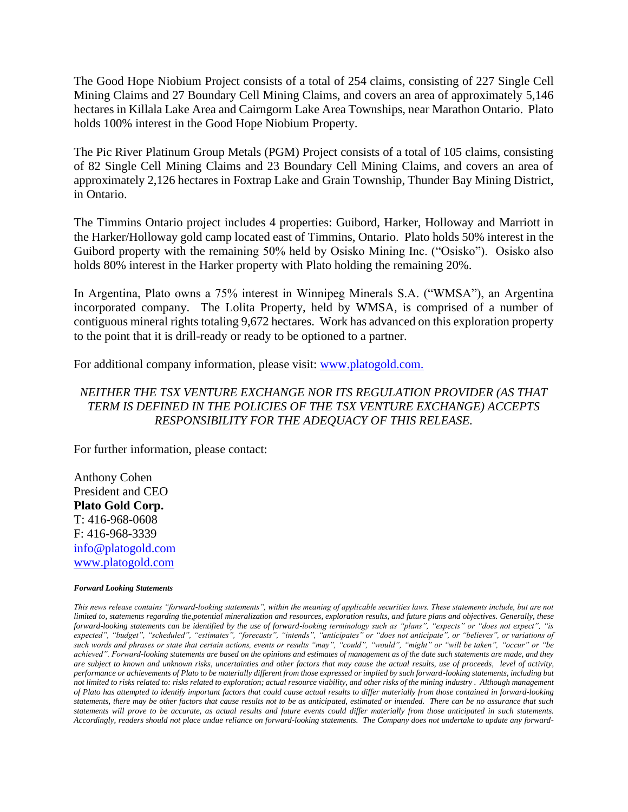The Good Hope Niobium Project consists of a total of 254 claims, consisting of 227 Single Cell Mining Claims and 27 Boundary Cell Mining Claims, and covers an area of approximately 5,146 hectares in Killala Lake Area and Cairngorm Lake Area Townships, near Marathon Ontario. Plato holds 100% interest in the Good Hope Niobium Property.

The Pic River Platinum Group Metals (PGM) Project consists of a total of 105 claims, consisting of 82 Single Cell Mining Claims and 23 Boundary Cell Mining Claims, and covers an area of approximately 2,126 hectares in Foxtrap Lake and Grain Township, Thunder Bay Mining District, in Ontario.

The Timmins Ontario project includes 4 properties: Guibord, Harker, Holloway and Marriott in the Harker/Holloway gold camp located east of Timmins, Ontario. Plato holds 50% interest in the Guibord property with the remaining 50% held by Osisko Mining Inc. ("Osisko"). Osisko also holds 80% interest in the Harker property with Plato holding the remaining 20%.

In Argentina, Plato owns a 75% interest in Winnipeg Minerals S.A. ("WMSA"), an Argentina incorporated company. The Lolita Property, held by WMSA, is comprised of a number of contiguous mineral rights totaling 9,672 hectares. Work has advanced on this exploration property to the point that it is drill-ready or ready to be optioned to a partner.

For additional company information, please visit: [www.platogold.com.](http://www.platogold.com/)

## *NEITHER THE TSX VENTURE EXCHANGE NOR ITS REGULATION PROVIDER (AS THAT TERM IS DEFINED IN THE POLICIES OF THE TSX VENTURE EXCHANGE) ACCEPTS RESPONSIBILITY FOR THE ADEQUACY OF THIS RELEASE.*

For further information, please contact:

Anthony Cohen President and CEO **Plato Gold Corp.** T: 416-968-0608 F: 416-968-3339 info@platogold.com [www.platogold.com](http://www.platogold.com/)

## *Forward Looking Statements*

*This news release contains "forward-looking statements", within the meaning of applicable securities laws. These statements include, but are not limited to, statements regarding the,potential mineralization and resources, exploration results, and future plans and objectives. Generally, these forward-looking statements can be identified by the use of forward-looking terminology such as "plans", "expects" or "does not expect", "is expected", "budget", "scheduled", "estimates", "forecasts", "intends", "anticipates" or "does not anticipate", or "believes", or variations of such words and phrases or state that certain actions, events or results "may", "could", "would", "might" or "will be taken", "occur" or "be achieved". Forward-looking statements are based on the opinions and estimates of management as of the date such statements are made, and they are subject to known and unknown risks, uncertainties and other factors that may cause the actual results, use of proceeds, level of activity, performance or achievements of Plato to be materially different from those expressed or implied by such forward-looking statements, including but not limited to risks related to: risks related to exploration; actual resource viability, and other risks of the mining industry . Although management of Plato has attempted to identify important factors that could cause actual results to differ materially from those contained in forward-looking statements, there may be other factors that cause results not to be as anticipated, estimated or intended. There can be no assurance that such statements will prove to be accurate, as actual results and future events could differ materially from those anticipated in such statements. Accordingly, readers should not place undue reliance on forward-looking statements. The Company does not undertake to update any forward-*